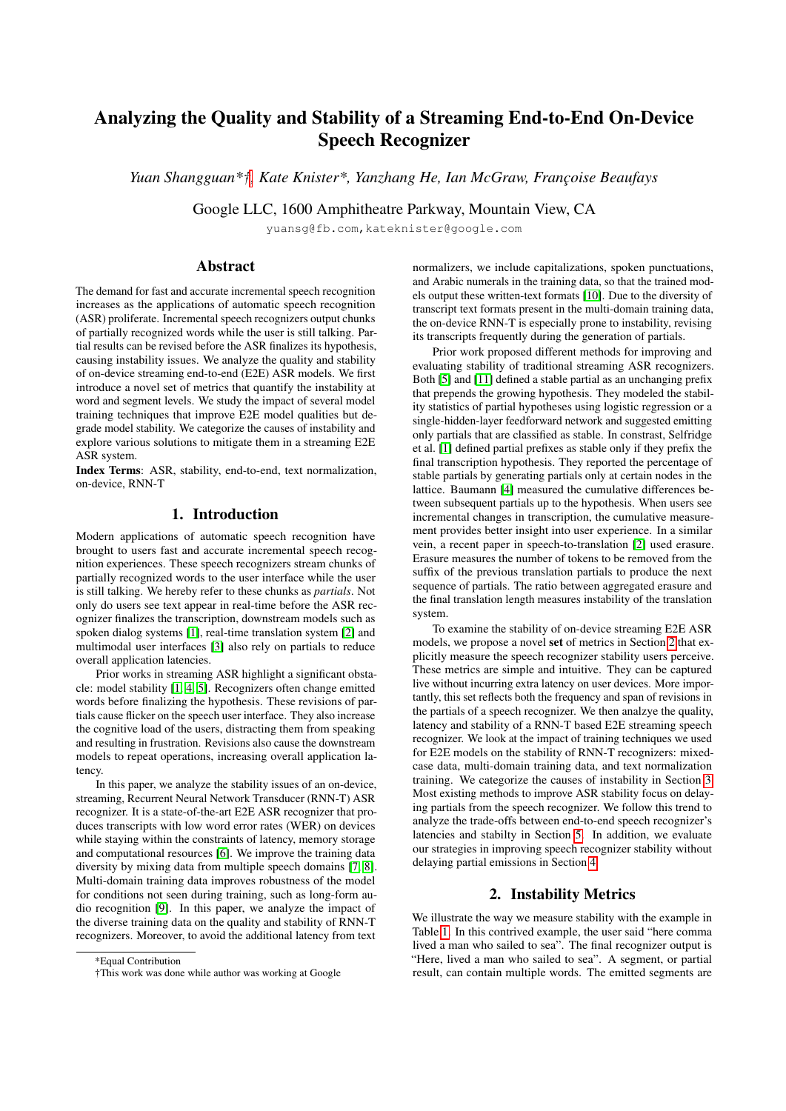# Analyzing the Quality and Stability of a Streaming End-to-End On-Device Speech Recognizer

*Yuan Shangguan\*†, Kate Knister\*, Yanzhang He, Ian McGraw, Franc¸oise Beaufays*

Google LLC, 1600 Amphitheatre Parkway, Mountain View, CA

yuansg@fb.com,kateknister@google.com

### Abstract

The demand for fast and accurate incremental speech recognition increases as the applications of automatic speech recognition (ASR) proliferate. Incremental speech recognizers output chunks of partially recognized words while the user is still talking. Partial results can be revised before the ASR finalizes its hypothesis, causing instability issues. We analyze the quality and stability of on-device streaming end-to-end (E2E) ASR models. We first introduce a novel set of metrics that quantify the instability at word and segment levels. We study the impact of several model training techniques that improve E2E model qualities but degrade model stability. We categorize the causes of instability and explore various solutions to mitigate them in a streaming E2E ASR system.

Index Terms: ASR, stability, end-to-end, text normalization, on-device, RNN-T

## 1. Introduction

Modern applications of automatic speech recognition have brought to users fast and accurate incremental speech recognition experiences. These speech recognizers stream chunks of partially recognized words to the user interface while the user is still talking. We hereby refer to these chunks as *partials*. Not only do users see text appear in real-time before the ASR recognizer finalizes the transcription, downstream models such as spoken dialog systems [\[1\]](#page-4-0), real-time translation system [\[2\]](#page-4-1) and multimodal user interfaces [\[3\]](#page-4-2) also rely on partials to reduce overall application latencies.

Prior works in streaming ASR highlight a significant obstacle: model stability [\[1,](#page-4-0) [4,](#page-4-3) [5\]](#page-4-4). Recognizers often change emitted words before finalizing the hypothesis. These revisions of partials cause flicker on the speech user interface. They also increase the cognitive load of the users, distracting them from speaking and resulting in frustration. Revisions also cause the downstream models to repeat operations, increasing overall application latency.

In this paper, we analyze the stability issues of an on-device, streaming, Recurrent Neural Network Transducer (RNN-T) ASR recognizer. It is a state-of-the-art E2E ASR recognizer that produces transcripts with low word error rates (WER) on devices while staying within the constraints of latency, memory storage and computational resources [\[6\]](#page-4-5). We improve the training data diversity by mixing data from multiple speech domains [\[7,](#page-4-6) [8\]](#page-4-7). Multi-domain training data improves robustness of the model for conditions not seen during training, such as long-form audio recognition [\[9\]](#page-4-8). In this paper, we analyze the impact of the diverse training data on the quality and stability of RNN-T recognizers. Moreover, to avoid the additional latency from text

normalizers, we include capitalizations, spoken punctuations, and Arabic numerals in the training data, so that the trained models output these written-text formats [\[10\]](#page-4-9). Due to the diversity of transcript text formats present in the multi-domain training data, the on-device RNN-T is especially prone to instability, revising its transcripts frequently during the generation of partials.

Prior work proposed different methods for improving and evaluating stability of traditional streaming ASR recognizers. Both [\[5\]](#page-4-4) and [\[11\]](#page-4-10) defined a stable partial as an unchanging prefix that prepends the growing hypothesis. They modeled the stability statistics of partial hypotheses using logistic regression or a single-hidden-layer feedforward network and suggested emitting only partials that are classified as stable. In constrast, Selfridge et al. [\[1\]](#page-4-0) defined partial prefixes as stable only if they prefix the final transcription hypothesis. They reported the percentage of stable partials by generating partials only at certain nodes in the lattice. Baumann [\[4\]](#page-4-3) measured the cumulative differences between subsequent partials up to the hypothesis. When users see incremental changes in transcription, the cumulative measurement provides better insight into user experience. In a similar vein, a recent paper in speech-to-translation [\[2\]](#page-4-1) used erasure. Erasure measures the number of tokens to be removed from the suffix of the previous translation partials to produce the next sequence of partials. The ratio between aggregated erasure and the final translation length measures instability of the translation system.

To examine the stability of on-device streaming E2E ASR models, we propose a novel set of metrics in Section [2](#page-0-0) that explicitly measure the speech recognizer stability users perceive. These metrics are simple and intuitive. They can be captured live without incurring extra latency on user devices. More importantly, this set reflects both the frequency and span of revisions in the partials of a speech recognizer. We then analzye the quality, latency and stability of a RNN-T based E2E streaming speech recognizer. We look at the impact of training techniques we used for E2E models on the stability of RNN-T recognizers: mixedcase data, multi-domain training data, and text normalization training. We categorize the causes of instability in Section [3.](#page-1-0) Most existing methods to improve ASR stability focus on delaying partials from the speech recognizer. We follow this trend to analyze the trade-offs between end-to-end speech recognizer's latencies and stabilty in Section [5.](#page-3-0) In addition, we evaluate our strategies in improving speech recognizer stability without delaying partial emissions in Section [4.](#page-2-0)

### 2. Instability Metrics

<span id="page-0-0"></span>We illustrate the way we measure stability with the example in Table [1.](#page-1-1) In this contrived example, the user said "here comma lived a man who sailed to sea". The final recognizer output is "Here, lived a man who sailed to sea". A segment, or partial result, can contain multiple words. The emitted segments are

<sup>\*</sup>Equal Contribution

<sup>†</sup>This work was done while author was working at Google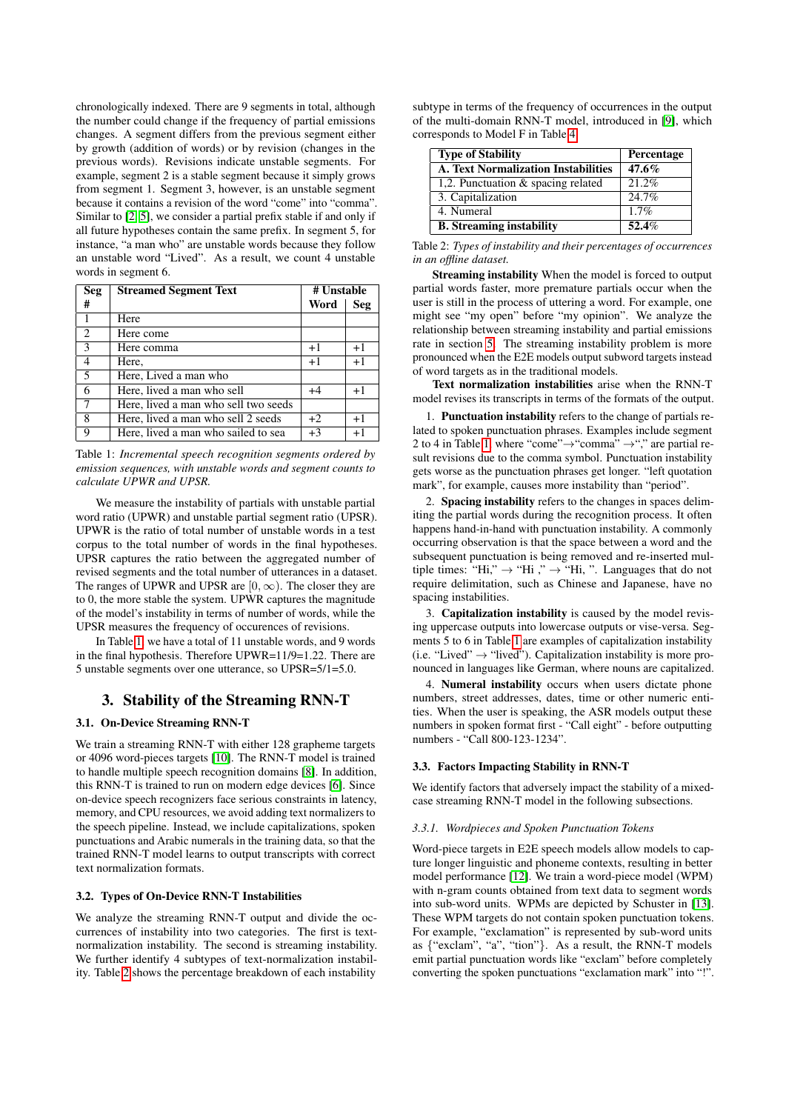chronologically indexed. There are 9 segments in total, although the number could change if the frequency of partial emissions changes. A segment differs from the previous segment either by growth (addition of words) or by revision (changes in the previous words). Revisions indicate unstable segments. For example, segment 2 is a stable segment because it simply grows from segment 1. Segment 3, however, is an unstable segment because it contains a revision of the word "come" into "comma". Similar to [\[2,](#page-4-1) [5\]](#page-4-4), we consider a partial prefix stable if and only if all future hypotheses contain the same prefix. In segment 5, for instance, "a man who" are unstable words because they follow an unstable word "Lived". As a result, we count 4 unstable words in segment 6.

<span id="page-1-1"></span>

| <b>Seg</b>     | <b>Streamed Segment Text</b>         | # Unstable |      |
|----------------|--------------------------------------|------------|------|
| #              |                                      | Word       | Seg  |
| 1              | Here                                 |            |      |
| 2              | Here come                            |            |      |
| 3              | Here comma                           | $+1$       | $+1$ |
| $\overline{4}$ | Here,                                | $+1$       | $+1$ |
| 5              | Here, Lived a man who                |            |      |
| 6              | Here, lived a man who sell           | $+4$       | $+1$ |
| 7              | Here, lived a man who sell two seeds |            |      |
| 8              | Here, lived a man who sell 2 seeds   | $+2$       | $+1$ |
| 9              | Here, lived a man who sailed to sea  | $+3$       | $+1$ |

Table 1: *Incremental speech recognition segments ordered by emission sequences, with unstable words and segment counts to calculate UPWR and UPSR.*

We measure the instability of partials with unstable partial word ratio (UPWR) and unstable partial segment ratio (UPSR). UPWR is the ratio of total number of unstable words in a test corpus to the total number of words in the final hypotheses. UPSR captures the ratio between the aggregated number of revised segments and the total number of utterances in a dataset. The ranges of UPWR and UPSR are  $[0, \infty)$ . The closer they are to 0, the more stable the system. UPWR captures the magnitude of the model's instability in terms of number of words, while the UPSR measures the frequency of occurences of revisions.

In Table [1,](#page-1-1) we have a total of 11 unstable words, and 9 words in the final hypothesis. Therefore UPWR=11/9=1.22. There are 5 unstable segments over one utterance, so UPSR=5/1=5.0.

# <span id="page-1-0"></span>3. Stability of the Streaming RNN-T

#### <span id="page-1-3"></span>3.1. On-Device Streaming RNN-T

We train a streaming RNN-T with either 128 grapheme targets or 4096 word-pieces targets [\[10\]](#page-4-9). The RNN-T model is trained to handle multiple speech recognition domains [\[8\]](#page-4-7). In addition, this RNN-T is trained to run on modern edge devices [\[6\]](#page-4-5). Since on-device speech recognizers face serious constraints in latency, memory, and CPU resources, we avoid adding text normalizers to the speech pipeline. Instead, we include capitalizations, spoken punctuations and Arabic numerals in the training data, so that the trained RNN-T model learns to output transcripts with correct text normalization formats.

#### 3.2. Types of On-Device RNN-T Instabilities

We analyze the streaming RNN-T output and divide the occurrences of instability into two categories. The first is textnormalization instability. The second is streaming instability. We further identify 4 subtypes of text-normalization instability. Table [2](#page-1-2) shows the percentage breakdown of each instability

subtype in terms of the frequency of occurrences in the output of the multi-domain RNN-T model, introduced in [\[9\]](#page-4-8), which corresponds to Model F in Table [4.](#page-3-1)

<span id="page-1-2"></span>

| <b>Type of Stability</b>                   | Percentage |  |  |
|--------------------------------------------|------------|--|--|
| <b>A. Text Normalization Instabilities</b> | $47.6\%$   |  |  |
| 1,2. Punctuation & spacing related         | $21.2\%$   |  |  |
| 3. Capitalization                          | 24.7%      |  |  |
| 4. Numeral                                 | 1.7%       |  |  |
| <b>B.</b> Streaming instability            | 52.4%      |  |  |

Table 2: *Types of instability and their percentages of occurrences in an offline dataset.*

Streaming instability When the model is forced to output partial words faster, more premature partials occur when the user is still in the process of uttering a word. For example, one might see "my open" before "my opinion". We analyze the relationship between streaming instability and partial emissions rate in section [5.](#page-3-0) The streaming instability problem is more pronounced when the E2E models output subword targets instead of word targets as in the traditional models.

Text normalization instabilities arise when the RNN-T model revises its transcripts in terms of the formats of the output.

1. Punctuation instability refers to the change of partials related to spoken punctuation phrases. Examples include segment 2 to 4 in Table [1,](#page-1-1) where "come" $\rightarrow$ "comma"  $\rightarrow$ "," are partial result revisions due to the comma symbol. Punctuation instability gets worse as the punctuation phrases get longer. "left quotation mark", for example, causes more instability than "period".

2. Spacing instability refers to the changes in spaces delimiting the partial words during the recognition process. It often happens hand-in-hand with punctuation instability. A commonly occurring observation is that the space between a word and the subsequent punctuation is being removed and re-inserted multiple times: "Hi,"  $\rightarrow$  "Hi,"  $\rightarrow$  "Hi, ". Languages that do not require delimitation, such as Chinese and Japanese, have no spacing instabilities.

3. Capitalization instability is caused by the model revising uppercase outputs into lowercase outputs or vise-versa. Segments 5 to 6 in Table [1](#page-1-1) are examples of capitalization instability (i.e. "Lived"  $\rightarrow$  "lived"). Capitalization instability is more pronounced in languages like German, where nouns are capitalized.

4. Numeral instability occurs when users dictate phone numbers, street addresses, dates, time or other numeric entities. When the user is speaking, the ASR models output these numbers in spoken format first - "Call eight" - before outputting numbers - "Call 800-123-1234".

#### <span id="page-1-4"></span>3.3. Factors Impacting Stability in RNN-T

We identify factors that adversely impact the stability of a mixedcase streaming RNN-T model in the following subsections.

#### *3.3.1. Wordpieces and Spoken Punctuation Tokens*

Word-piece targets in E2E speech models allow models to capture longer linguistic and phoneme contexts, resulting in better model performance [\[12\]](#page-4-11). We train a word-piece model (WPM) with n-gram counts obtained from text data to segment words into sub-word units. WPMs are depicted by Schuster in [\[13\]](#page-4-12). These WPM targets do not contain spoken punctuation tokens. For example, "exclamation" is represented by sub-word units as {"exclam", "a", "tion"}. As a result, the RNN-T models emit partial punctuation words like "exclam" before completely converting the spoken punctuations "exclamation mark" into "!".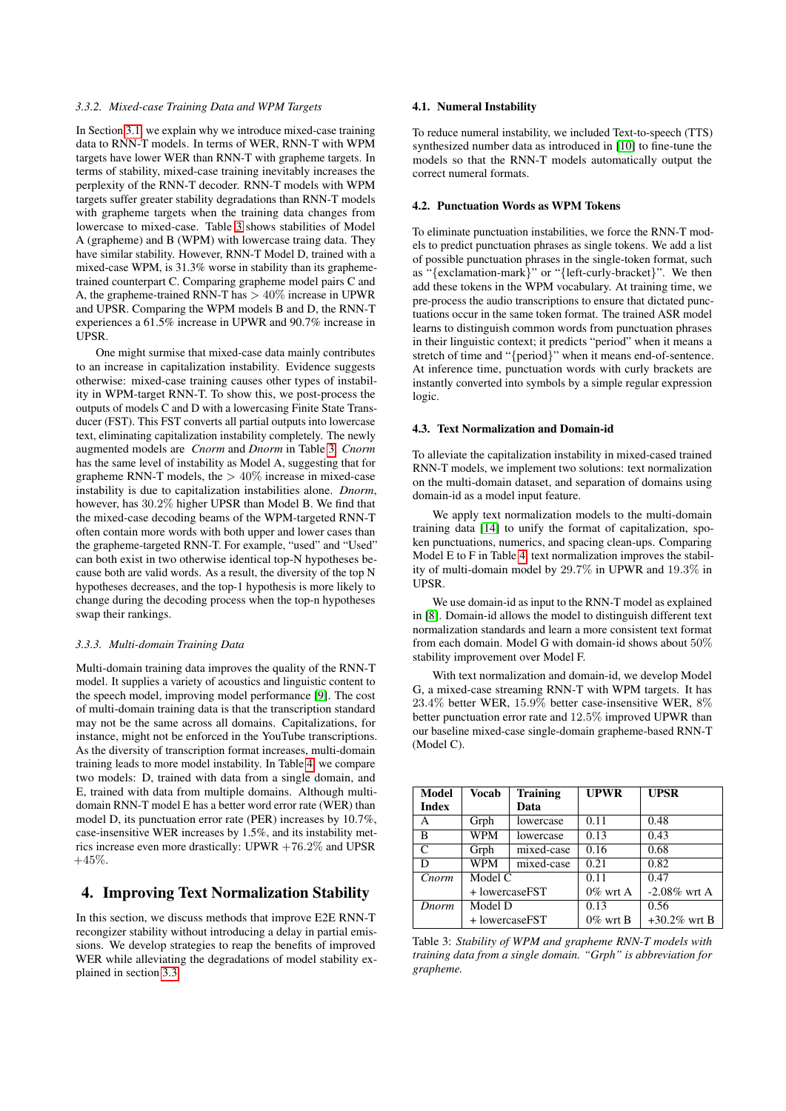#### *3.3.2. Mixed-case Training Data and WPM Targets*

In Section [3.1,](#page-1-3) we explain why we introduce mixed-case training data to RNN-T models. In terms of WER, RNN-T with WPM targets have lower WER than RNN-T with grapheme targets. In terms of stability, mixed-case training inevitably increases the perplexity of the RNN-T decoder. RNN-T models with WPM targets suffer greater stability degradations than RNN-T models with grapheme targets when the training data changes from lowercase to mixed-case. Table [3](#page-2-1) shows stabilities of Model A (grapheme) and B (WPM) with lowercase traing data. They have similar stability. However, RNN-T Model D, trained with a mixed-case WPM, is 31.3% worse in stability than its graphemetrained counterpart C. Comparing grapheme model pairs C and A, the grapheme-trained RNN-T has  $> 40\%$  increase in UPWR and UPSR. Comparing the WPM models B and D, the RNN-T experiences a 61.5% increase in UPWR and 90.7% increase in UPSR.

One might surmise that mixed-case data mainly contributes to an increase in capitalization instability. Evidence suggests otherwise: mixed-case training causes other types of instability in WPM-target RNN-T. To show this, we post-process the outputs of models C and D with a lowercasing Finite State Transducer (FST). This FST converts all partial outputs into lowercase text, eliminating capitalization instability completely. The newly augmented models are *Cnorm* and *Dnorm* in Table [3.](#page-2-1) *Cnorm* has the same level of instability as Model A, suggesting that for grapheme RNN-T models, the  $> 40\%$  increase in mixed-case instability is due to capitalization instabilities alone. *Dnorm*, however, has 30.2% higher UPSR than Model B. We find that the mixed-case decoding beams of the WPM-targeted RNN-T often contain more words with both upper and lower cases than the grapheme-targeted RNN-T. For example, "used" and "Used" can both exist in two otherwise identical top-N hypotheses because both are valid words. As a result, the diversity of the top N hypotheses decreases, and the top-1 hypothesis is more likely to change during the decoding process when the top-n hypotheses swap their rankings.

#### *3.3.3. Multi-domain Training Data*

Multi-domain training data improves the quality of the RNN-T model. It supplies a variety of acoustics and linguistic content to the speech model, improving model performance [\[9\]](#page-4-8). The cost of multi-domain training data is that the transcription standard may not be the same across all domains. Capitalizations, for instance, might not be enforced in the YouTube transcriptions. As the diversity of transcription format increases, multi-domain training leads to more model instability. In Table [4,](#page-3-1) we compare two models: D, trained with data from a single domain, and E, trained with data from multiple domains. Although multidomain RNN-T model E has a better word error rate (WER) than model D, its punctuation error rate (PER) increases by 10.7%, case-insensitive WER increases by 1.5%, and its instability metrics increase even more drastically: UPWR +76.2% and UPSR  $+45%$ .

### <span id="page-2-0"></span>4. Improving Text Normalization Stability

In this section, we discuss methods that improve E2E RNN-T recongizer stability without introducing a delay in partial emissions. We develop strategies to reap the benefits of improved WER while alleviating the degradations of model stability explained in section [3.3.](#page-1-4)

#### 4.1. Numeral Instability

To reduce numeral instability, we included Text-to-speech (TTS) synthesized number data as introduced in [\[10\]](#page-4-9) to fine-tune the models so that the RNN-T models automatically output the correct numeral formats.

#### 4.2. Punctuation Words as WPM Tokens

To eliminate punctuation instabilities, we force the RNN-T models to predict punctuation phrases as single tokens. We add a list of possible punctuation phrases in the single-token format, such as "{exclamation-mark}" or "{left-curly-bracket}". We then add these tokens in the WPM vocabulary. At training time, we pre-process the audio transcriptions to ensure that dictated punctuations occur in the same token format. The trained ASR model learns to distinguish common words from punctuation phrases in their linguistic context; it predicts "period" when it means a stretch of time and "{period}" when it means end-of-sentence. At inference time, punctuation words with curly brackets are instantly converted into symbols by a simple regular expression logic.

#### 4.3. Text Normalization and Domain-id

To alleviate the capitalization instability in mixed-cased trained RNN-T models, we implement two solutions: text normalization on the multi-domain dataset, and separation of domains using domain-id as a model input feature.

We apply text normalization models to the multi-domain training data [\[14\]](#page-4-13) to unify the format of capitalization, spoken punctuations, numerics, and spacing clean-ups. Comparing Model E to F in Table [4,](#page-3-1) text normalization improves the stability of multi-domain model by 29.7% in UPWR and 19.3% in UPSR.

We use domain-id as input to the RNN-T model as explained in [\[8\]](#page-4-7). Domain-id allows the model to distinguish different text normalization standards and learn a more consistent text format from each domain. Model G with domain-id shows about 50% stability improvement over Model F.

With text normalization and domain-id, we develop Model G, a mixed-case streaming RNN-T with WPM targets. It has 23.4% better WER, 15.9% better case-insensitive WER, 8% better punctuation error rate and 12.5% improved UPWR than our baseline mixed-case single-domain grapheme-based RNN-T (Model C).

<span id="page-2-1"></span>

| <b>Model</b> | Vocab          | <b>Training</b> | <b>UPWR</b> | <b>UPSR</b>     |  |
|--------------|----------------|-----------------|-------------|-----------------|--|
| <b>Index</b> |                | Data            |             |                 |  |
| A            | Grph           | lowercase       | 0.11        | 0.48            |  |
| B            | WPM            | lowercase       | 0.13        | 0.43            |  |
| C            | Grph           | mixed-case      | 0.16        | 0.68            |  |
| D            | <b>WPM</b>     | mixed-case      | 0.21        | 0.82            |  |
| Cnorm        | Model C        |                 | 0.11        | 0.47            |  |
|              | + lowercaseFST |                 | $0\%$ wrt A | $-2.08\%$ wrt A |  |
| Dnorm        | Model D        |                 | 0.13        | 0.56            |  |
|              | + lowercaseFST |                 | $0\%$ wrt B | $+30.2\%$ wrt B |  |

Table 3: *Stability of WPM and grapheme RNN-T models with training data from a single domain. "Grph" is abbreviation for grapheme.*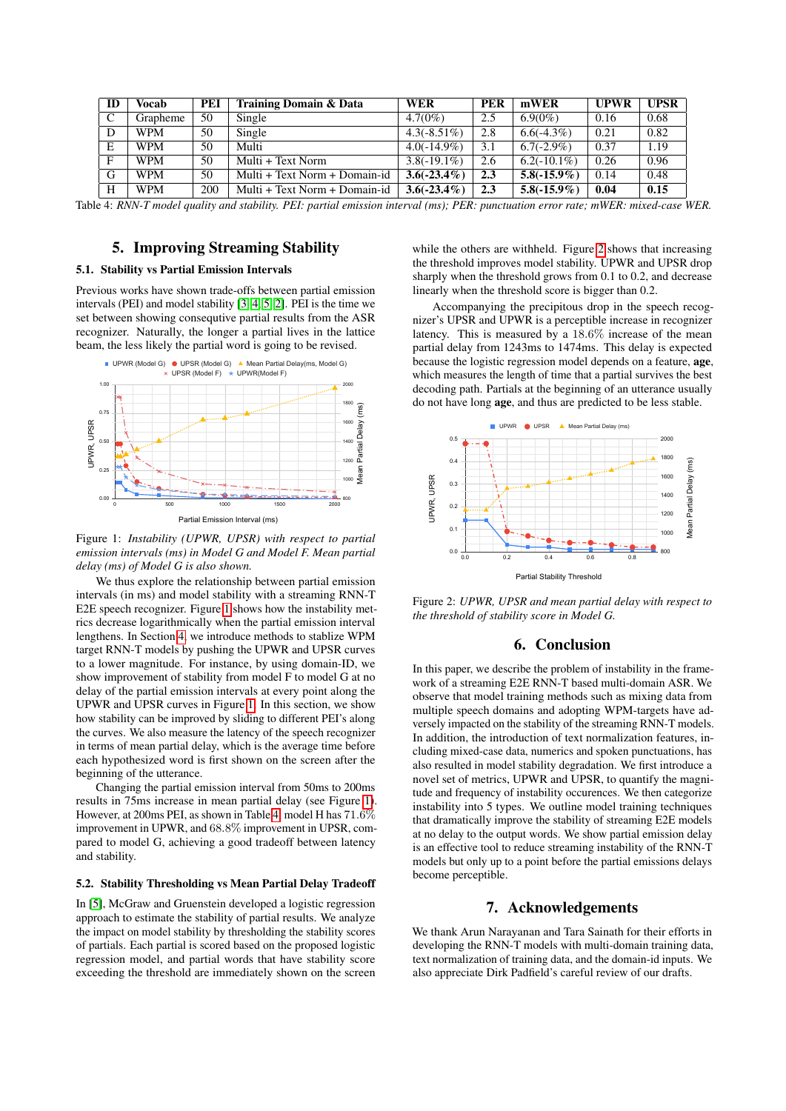<span id="page-3-1"></span>

| ID           | Vocab      | PEI | Training Domain & Data        | <b>WER</b>     | <b>PER</b> | mWER           | <b>UPWR</b> | <b>UPSR</b> |
|--------------|------------|-----|-------------------------------|----------------|------------|----------------|-------------|-------------|
|              | Grapheme   | 50  | Single                        | $4.7(0\%)$     | 2.5        | $6.9(0\%)$     | 0.16        | 0.68        |
|              | <b>WPM</b> | 50  | Single                        | $4.3(-8.51\%)$ | 2.8        | $6.6(-4.3\%)$  | 0.21        | 0.82        |
| E            | <b>WPM</b> | 50  | Multi                         | $4.0(-14.9\%)$ | 3.1        | $6.7(-2.9\%)$  | 0.37        | 1.19        |
| $\mathbf{F}$ | <b>WPM</b> | 50  | Multi + Text Norm             | $3.8(-19.1\%)$ | 2.6        | $6.2(-10.1\%)$ | 0.26        | 0.96        |
| G            | <b>WPM</b> | 50  | Multi + Text Norm + Domain-id | $3.6(-23.4\%)$ | 2.3        | $5.8(-15.9\%)$ | 0.14        | 0.48        |
| H            | <b>WPM</b> | 200 | Multi + Text Norm + Domain-id | $3.6(-23.4\%)$ | 2.3        | $5.8(-15.9\%)$ | 0.04        | 0.15        |

Table 4: *RNN-T model quality and stability. PEI: partial emission interval (ms); PER: punctuation error rate; mWER: mixed-case WER.*

### 5. Improving Streaming Stability

### <span id="page-3-0"></span>5.1. Stability vs Partial Emission Intervals

Previous works have shown trade-offs between partial emission intervals (PEI) and model stability [\[3,](#page-4-2) [4,](#page-4-3) [5,](#page-4-4) [2\]](#page-4-1). PEI is the time we set between showing consequtive partial results from the ASR recognizer. Naturally, the longer a partial lives in the lattice beam, the less likely the partial word is going to be revised.

<span id="page-3-2"></span>

Figure 1: *Instability (UPWR, UPSR) with respect to partial emission intervals (ms) in Model G and Model F. Mean partial delay (ms) of Model G is also shown.*

We thus explore the relationship between partial emission intervals (in ms) and model stability with a streaming RNN-T E2E speech recognizer. Figure [1](#page-3-2) shows how the instability metrics decrease logarithmically when the partial emission interval lengthens. In Section [4,](#page-2-0) we introduce methods to stablize WPM target RNN-T models by pushing the UPWR and UPSR curves to a lower magnitude. For instance, by using domain-ID, we show improvement of stability from model F to model G at no delay of the partial emission intervals at every point along the UPWR and UPSR curves in Figure [1.](#page-3-2) In this section, we show how stability can be improved by sliding to different PEI's along the curves. We also measure the latency of the speech recognizer in terms of mean partial delay, which is the average time before each hypothesized word is first shown on the screen after the beginning of the utterance.

Changing the partial emission interval from 50ms to 200ms results in 75ms increase in mean partial delay (see Figure [1\)](#page-3-2). However, at 200ms PEI, as shown in Table [4,](#page-3-1) model H has 71.6% improvement in UPWR, and 68.8% improvement in UPSR, compared to model G, achieving a good tradeoff between latency and stability.

#### 5.2. Stability Thresholding vs Mean Partial Delay Tradeoff

In [\[5\]](#page-4-4), McGraw and Gruenstein developed a logistic regression approach to estimate the stability of partial results. We analyze the impact on model stability by thresholding the stability scores of partials. Each partial is scored based on the proposed logistic regression model, and partial words that have stability score exceeding the threshold are immediately shown on the screen

while the others are withheld. Figure [2](#page-3-3) shows that increasing the threshold improves model stability. UPWR and UPSR drop sharply when the threshold grows from 0.1 to 0.2, and decrease linearly when the threshold score is bigger than 0.2.

Accompanying the precipitous drop in the speech recognizer's UPSR and UPWR is a perceptible increase in recognizer latency. This is measured by a 18.6% increase of the mean partial delay from 1243ms to 1474ms. This delay is expected because the logistic regression model depends on a feature, age, which measures the length of time that a partial survives the best decoding path. Partials at the beginning of an utterance usually do not have long age, and thus are predicted to be less stable.

<span id="page-3-3"></span>

Figure 2: *UPWR, UPSR and mean partial delay with respect to the threshold of stability score in Model G.*

### 6. Conclusion

In this paper, we describe the problem of instability in the framework of a streaming E2E RNN-T based multi-domain ASR. We observe that model training methods such as mixing data from multiple speech domains and adopting WPM-targets have adversely impacted on the stability of the streaming RNN-T models. In addition, the introduction of text normalization features, including mixed-case data, numerics and spoken punctuations, has also resulted in model stability degradation. We first introduce a novel set of metrics, UPWR and UPSR, to quantify the magnitude and frequency of instability occurences. We then categorize instability into 5 types. We outline model training techniques that dramatically improve the stability of streaming E2E models at no delay to the output words. We show partial emission delay is an effective tool to reduce streaming instability of the RNN-T models but only up to a point before the partial emissions delays become perceptible.

#### 7. Acknowledgements

We thank Arun Narayanan and Tara Sainath for their efforts in developing the RNN-T models with multi-domain training data, text normalization of training data, and the domain-id inputs. We also appreciate Dirk Padfield's careful review of our drafts.